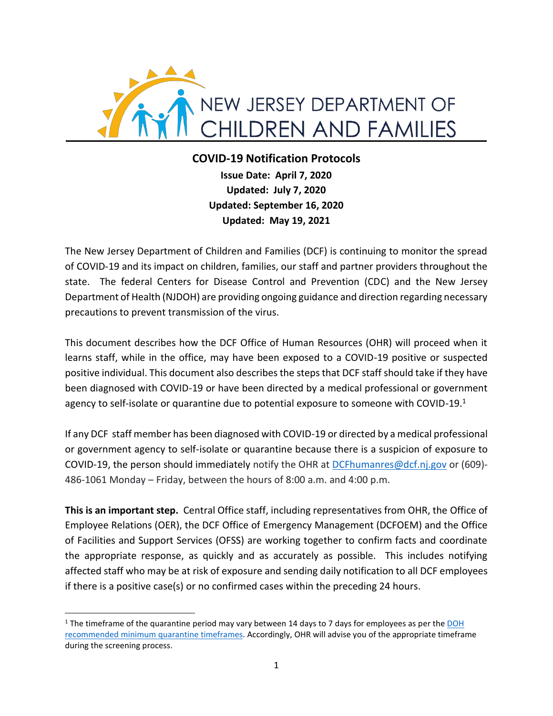

# **COVID-19 Notification Protocols**

**Issue Date: April 7, 2020 Updated: July 7, 2020 Updated: September 16, 2020 Updated: May 19, 2021**

The New Jersey Department of Children and Families (DCF) is continuing to monitor the spread of COVID-19 and its impact on children, families, our staff and partner providers throughout the state. The federal Centers for Disease Control and Prevention (CDC) and the New Jersey Department of Health (NJDOH) are providing ongoing guidance and direction regarding necessary precautions to prevent transmission of the virus.

This document describes how the DCF Office of Human Resources (OHR) will proceed when it learns staff, while in the office, may have been exposed to a COVID-19 positive or suspected positive individual. This document also describes the steps that DCF staff should take if they have been diagnosed with COVID-19 or have been directed by a medical professional or government agency to self-isolate or quarantine due to potential exposure to someone with COVID-19. $<sup>1</sup>$ </sup>

If any DCF staff member has been diagnosed with COVID-19 or directed by a medical professional or government agency to self-isolate or quarantine because there is a suspicion of exposure to COVID-19, the person should immediately notify the OHR at [DCFhumanres@dcf.nj.gov](mailto:DCFhumanres@dcf.nj.gov) or (609)- 486-1061 Monday – Friday, between the hours of 8:00 a.m. and 4:00 p.m.

**This is an important step.** Central Office staff, including representatives from OHR, the Office of Employee Relations (OER), the DCF Office of Emergency Management (DCFOEM) and the Office of Facilities and Support Services (OFSS) are working together to confirm facts and coordinate the appropriate response, as quickly and as accurately as possible. This includes notifying affected staff who may be at risk of exposure and sending daily notification to all DCF employees if there is a positive case(s) or no confirmed cases within the preceding 24 hours.

<sup>&</sup>lt;sup>1</sup> The timeframe of the quarantine period may vary between 14 days to 7 days for employees as per the DOH recommended [minimum quarantine](https://nj.gov/health/cd/documents/topics/NCOV/COVID_updated_quarantine_timeframes.pdf) timeframes. Accordingly, OHR will advise you of the appropriate timeframe during the screening process.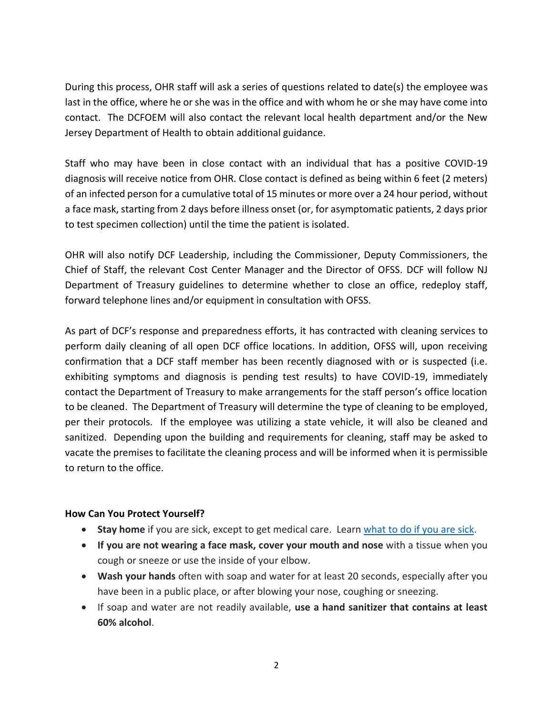During this process, OHR staff will ask a series of questions related to date(s) the employee was last in the office, where he or she was in the office and with whom he or she may have come into contact. The DCFOEM will also contact the relevant local health department and/or the New Jersey Department of Health to obtain additional guidance.

Staff who may have been in close contact with an individual that has a positive COVID-19 diagnosis will receive notice from OHR. Close contact is defined as being within 6 feet (2 meters) of an infected person for a cumulative total of 15 minutes or more over a 24 hour period, without a face mask, starting from 2 days before illness onset (or, for asymptomatic patients, 2 days prior to test specimen collection) until the time the patient is isolated.

OHR will also notify DCF Leadership, including the Commissioner, Deputy Commissioners, the Chief of Staff, the relevant Cost Center Manager and the Director of OFSS. DCF will follow NJ Department of Treasury guidelines to determine whether to close an office, redeploy staff, forward telephone lines and/or equipment in consultation with OFSS.

As part of DCF's response and preparedness efforts, it has contracted with cleaning services to perform daily cleaning of all open DCF office locations. In addition, OFSS will, upon receiving confirmation that a DCF staff member has been recently diagnosed with or is suspected (i.e. exhibiting symptoms and diagnosis is pending test results) to have COVID-19, immediately contact the Department of Treasury to make arrangements for the staff person's office location to be cleaned. The Department of Treasury will determine the type of cleaning to be employed, per their protocols. If the employee was utilizing a state vehicle, it will also be cleaned and sanitized. Depending upon the building and requirements for cleaning, staff may be asked to vacate the premises to facilitate the cleaning process and will be informed when it is permissible to return to the office.

#### **How Can You Protect Yourself?**

- **Stay home** if you are sick, except to get medical care. Lear[n what to do if you are sick.](https://www.cdc.gov/coronavirus/2019-ncov/if-you-are-sick/steps-when-sick.html)
- **If you are not wearing a face mask, cover your mouth and nose** with a tissue when you cough or sneeze or use the inside of your elbow.
- **Wash your hands** often with soap and water for at least 20 seconds, especially after you have been in a public place, or after blowing your nose, coughing or sneezing.
- If soap and water are not readily available, **use a hand sanitizer that contains at least 60% alcohol**.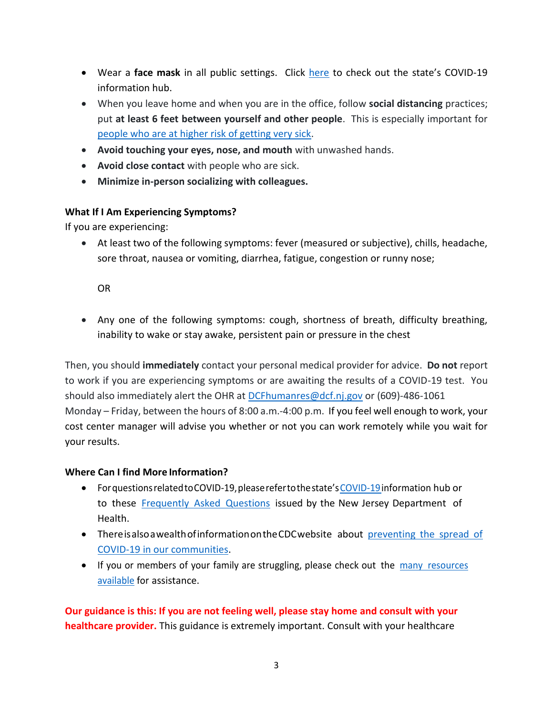- Wear a **face mask** in all public settings. Click [here](https://covid19.nj.gov/search.html?query=mask+requirements) to check out the state's COVID-19 information hub.
- When you leave home and when you are in the office, follow **social distancing** practices; put **at least 6 feet between yourself and other people**. This is especially important for [people who are at higher risk of getting very sick.](https://www.cdc.gov/coronavirus/2019-ncov/need-extra-precautions/index.html?CDC_AA_refVal=https%3A%2F%2Fwww.cdc.gov%2Fcoronavirus%2F2019-ncov%2Fneed-extra-precautions%2Fpeople-at-increased-risk.html)
- **Avoid touching your eyes, nose, and mouth** with unwashed hands.
- **Avoid close contact** with people who are sick.
- **Minimize in-person socializing with colleagues.**

## **What If I Am Experiencing Symptoms?**

If you are experiencing:

• At least two of the following symptoms: fever (measured or subjective), chills, headache, sore throat, nausea or vomiting, diarrhea, fatigue, congestion or runny nose;

OR

• Any one of the following symptoms: cough, shortness of breath, difficulty breathing, inability to wake or stay awake, persistent pain or pressure in the chest

Then, you should **immediately** contact your personal medical provider for advice. **Do not** report to work if you are experiencing symptoms or are awaiting the results of a COVID-19 test. You should also immediately alert the OHR at [DCFhumanres@dcf.nj.gov](mailto:DCFhumanres@dcf.nj.gov) or (609)-486-1061 Monday – Friday, between the hours of 8:00 a.m.-4:00 p.m. If you feel well enough to work, your cost center manager will advise you whether or not you can work remotely while you wait for your results.

## **Where Can I find More Information?**

- ForquestionsrelatedtoCOVID-19,pleaserefertothestate's[COVID-19i](http://www.covid19.nj.gov/)nformation hub or to these [Frequently Asked Questions](https://nj.gov/health/cd/documents/topics/NCOV/COVID-19-PUBLIC%20FAQs_03212020.pdf) issued by the New Jersey Department of Health.
- Thereisalsoawealthofinformation on the CDC website about preventing the spread of [COVID-19 in our communities.](https://www.cdc.gov/coronavirus/2019-ncov/community/index.html)
- If you or members of your family are struggling, please check out the many resources [available](https://www.cdc.gov/coronavirus/2019-ncov/daily-life-coping/managing-stress-anxiety.html) for assistance.

**Our guidance is this: If you are not feeling well, please stay home and consult with your healthcare provider.** This guidance is extremely important. Consult with your healthcare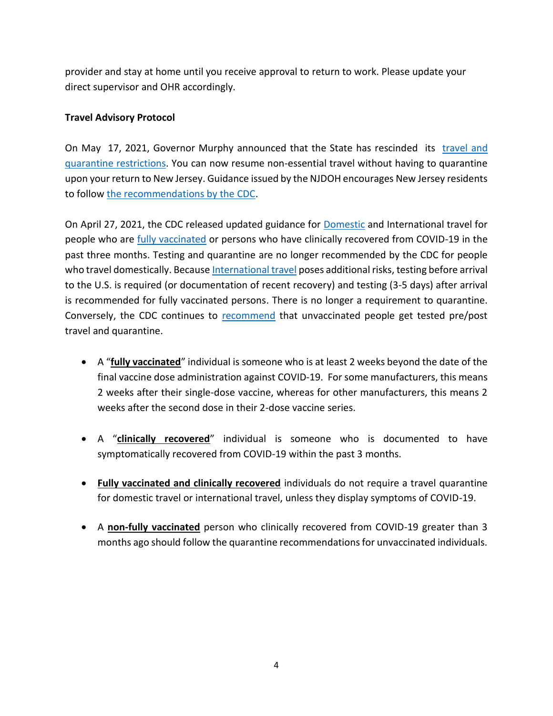provider and stay at home until you receive approval to return to work. Please update your direct supervisor and OHR accordingly.

### **Travel Advisory Protocol**

On May 17, 2021, Governor Murphy announced that the State has rescinded its travel and [quarantine restrictions.](https://covid19.nj.gov/faqs/nj-information/travel-and-transportation/are-there-travel-restrictions-to-or-from-new-jersey) You can now resume non-essential travel without having to quarantine upon your return to New Jersey. Guidance issued by the NJDOH encourages New Jersey residents to follow [the recommendations by the CDC.](https://www.cdc.gov/coronavirus/2019-ncov/travelers/travel-during-covid19.html)

On April 27, 2021, the CDC released updated guidance for [Domestic](https://www.cdc.gov/coronavirus/2019-ncov/travelers/travel-during-covid19.html) and International travel for people who are [fully vaccinated](https://www.cdc.gov/coronavirus/2019-ncov/vaccines/fully-vaccinated.html) or persons who have clinically recovered from COVID-19 in the past three months. Testing and quarantine are no longer recommended by the CDC for people who travel domestically. Because [International travel](https://www.cdc.gov/coronavirus/2019-ncov/travelers/map-and-travel-notices.html) poses additional risks, testing before arrival to the U.S. is required (or documentation of recent recovery) and testing (3-5 days) after arrival is recommended for fully vaccinated persons. There is no longer a requirement to quarantine. Conversely, the CDC continues to [recommend](https://www.cdc.gov/coronavirus/2019-ncov/travelers/travel-during-covid19.html#unvaccinated-people) that unvaccinated people get tested pre/post travel and quarantine.

- A "**fully vaccinated**" individual is someone who is at least 2 weeks beyond the date of the final vaccine dose administration against COVID-19. For some manufacturers, this means 2 weeks after their single-dose vaccine, whereas for other manufacturers, this means 2 weeks after the second dose in their 2-dose vaccine series.
- A "**clinically recovered**" individual is someone who is documented to have symptomatically recovered from COVID-19 within the past 3 months.
- **Fully vaccinated and clinically recovered** individuals do not require a travel quarantine for domestic travel or international travel, unless they display symptoms of COVID-19.
- A **non-fully vaccinated** person who clinically recovered from COVID-19 greater than 3 months ago should follow the quarantine recommendations for unvaccinated individuals.